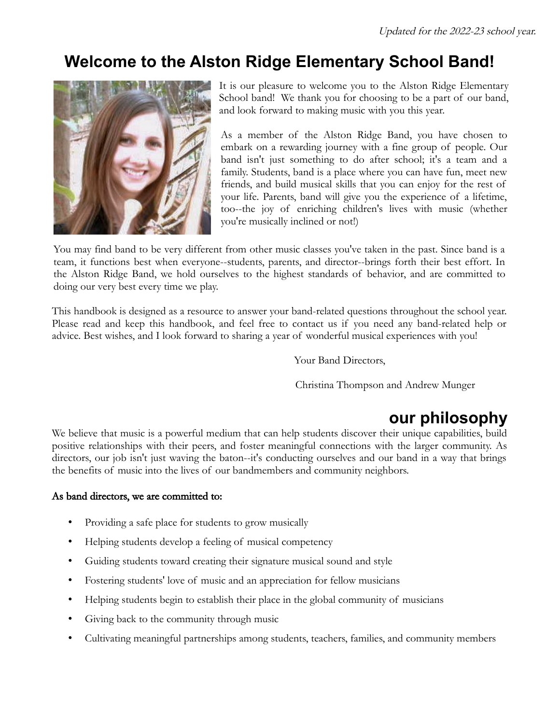# **Welcome to the Alston Ridge Elementary School Band!**



It is our pleasure to welcome you to the Alston Ridge Elementary School band! We thank you for choosing to be a part of our band, and look forward to making music with you this year.

As a member of the Alston Ridge Band, you have chosen to embark on a rewarding journey with a fine group of people. Our band isn't just something to do after school; it's a team and a family. Students, band is a place where you can have fun, meet new friends, and build musical skills that you can enjoy for the rest of your life. Parents, band will give you the experience of a lifetime, too--the joy of enriching children's lives with music (whether you're musically inclined or not!)

You may find band to be very different from other music classes you've taken in the past. Since band is a team, it functions best when everyone--students, parents, and director--brings forth their best effort. In the Alston Ridge Band, we hold ourselves to the highest standards of behavior, and are committed to doing our very best every time we play.

This handbook is designed as a resource to answer your band-related questions throughout the school year. Please read and keep this handbook, and feel free to contact us if you need any band-related help or advice. Best wishes, and I look forward to sharing a year of wonderful musical experiences with you!

Your Band Directors,

Christina Thompson and Andrew Munger

# **our philosophy**

We believe that music is a powerful medium that can help students discover their unique capabilities, build positive relationships with their peers, and foster meaningful connections with the larger community. As directors, our job isn't just waving the baton--it's conducting ourselves and our band in a way that brings the benefits of music into the lives of our bandmembers and community neighbors.

### As band directors, we are committed to:

- Providing a safe place for students to grow musically
- Helping students develop a feeling of musical competency
- Guiding students toward creating their signature musical sound and style
- Fostering students' love of music and an appreciation for fellow musicians
- Helping students begin to establish their place in the global community of musicians
- Giving back to the community through music
- Cultivating meaningful partnerships among students, teachers, families, and community members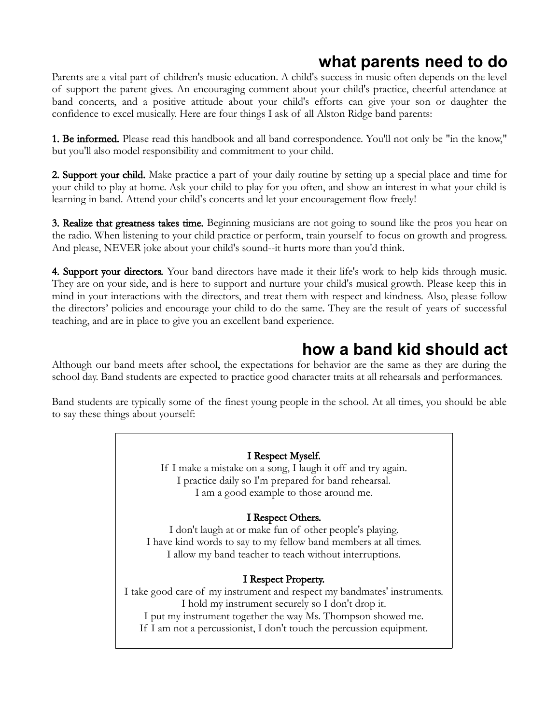## **what parents need to do**

Parents are a vital part of children's music education. A child's success in music often depends on the level of support the parent gives. An encouraging comment about your child's practice, cheerful attendance at band concerts, and a positive attitude about your child's efforts can give your son or daughter the confidence to excel musically. Here are four things I ask of all Alston Ridge band parents:

**1. Be informed.** Please read this handbook and all band correspondence. You'll not only be "in the know," but you'll also model responsibility and commitment to your child.

2. Support your child. Make practice a part of your daily routine by setting up a special place and time for your child to play at home. Ask your child to play for you often, and show an interest in what your child is learning in band. Attend your child's concerts and let your encouragement flow freely!

**3. Realize that greatness takes time.** Beginning musicians are not going to sound like the pros you hear on the radio. When listening to your child practice or perform, train yourself to focus on growth and progress. And please, NEVER joke about your child's sound--it hurts more than you'd think.

4. Support your directors. Your band directors have made it their life's work to help kids through music. They are on your side, and is here to support and nurture your child's musical growth. Please keep this in mind in your interactions with the directors, and treat them with respect and kindness. Also, please follow the directors' policies and encourage your child to do the same. They are the result of years of successful teaching, and are in place to give you an excellent band experience.

## **how a band kid should act**

Although our band meets after school, the expectations for behavior are the same as they are during the school day. Band students are expected to practice good character traits at all rehearsals and performances.

Band students are typically some of the finest young people in the school. At all times, you should be able to say these things about yourself:

#### I Respect Myself.

If I make a mistake on a song, I laugh it off and try again. I practice daily so I'm prepared for band rehearsal. I am a good example to those around me.

### I Respect Others.

I don't laugh at or make fun of other people's playing. I have kind words to say to my fellow band members at all times. I allow my band teacher to teach without interruptions.

### I Respect Property.

I take good care of my instrument and respect my bandmates' instruments. I hold my instrument securely so I don't drop it. I put my instrument together the way Ms. Thompson showed me. If I am not a percussionist, I don't touch the percussion equipment.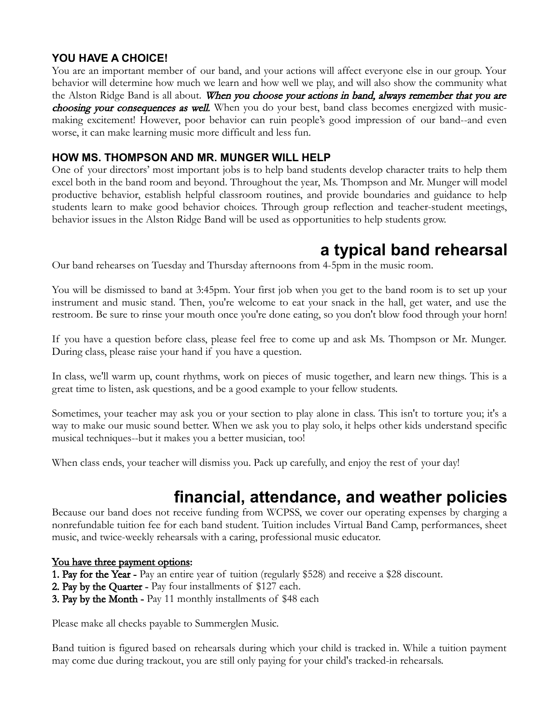### **YOU HAVE A CHOICE!**

You are an important member of our band, and your actions will affect everyone else in our group. Your behavior will determine how much we learn and how well we play, and will also show the community what the Alston Ridge Band is all about. When you choose your actions in band, always remember that you are **choosing your consequences as well.** When you do your best, band class becomes energized with musicmaking excitement! However, poor behavior can ruin people's good impression of our band--and even worse, it can make learning music more difficult and less fun.

### **HOW MS. THOMPSON AND MR. MUNGER WILL HELP**

One of your directors' most important jobs is to help band students develop character traits to help them excel both in the band room and beyond. Throughout the year, Ms. Thompson and Mr. Munger will model productive behavior, establish helpful classroom routines, and provide boundaries and guidance to help students learn to make good behavior choices. Through group reflection and teacher-student meetings, behavior issues in the Alston Ridge Band will be used as opportunities to help students grow.

## **a typical band rehearsal**

Our band rehearses on Tuesday and Thursday afternoons from 4-5pm in the music room.

You will be dismissed to band at 3:45pm. Your first job when you get to the band room is to set up your instrument and music stand. Then, you're welcome to eat your snack in the hall, get water, and use the restroom. Be sure to rinse your mouth once you're done eating, so you don't blow food through your horn!

If you have a question before class, please feel free to come up and ask Ms. Thompson or Mr. Munger. During class, please raise your hand if you have a question.

In class, we'll warm up, count rhythms, work on pieces of music together, and learn new things. This is a great time to listen, ask questions, and be a good example to your fellow students.

Sometimes, your teacher may ask you or your section to play alone in class. This isn't to torture you; it's a way to make our music sound better. When we ask you to play solo, it helps other kids understand specific musical techniques--but it makes you a better musician, too!

When class ends, your teacher will dismiss you. Pack up carefully, and enjoy the rest of your day!

## **financial, attendance, and weather policies**

Because our band does not receive funding from WCPSS, we cover our operating expenses by charging a nonrefundable tuition fee for each band student. Tuition includes Virtual Band Camp, performances, sheet music, and twice-weekly rehearsals with a caring, professional music educator.

#### You have three payment options:

- **1. Pay for the Year -** Pay an entire year of tuition (regularly \$528) and receive a \$28 discount.
- 2. Pay by the Quarter Pay four installments of \$127 each.
- 3. Pay by the Month Pay 11 monthly installments of \$48 each

Please make all checks payable to Summerglen Music.

Band tuition is figured based on rehearsals during which your child is tracked in. While a tuition payment may come due during trackout, you are still only paying for your child's tracked-in rehearsals.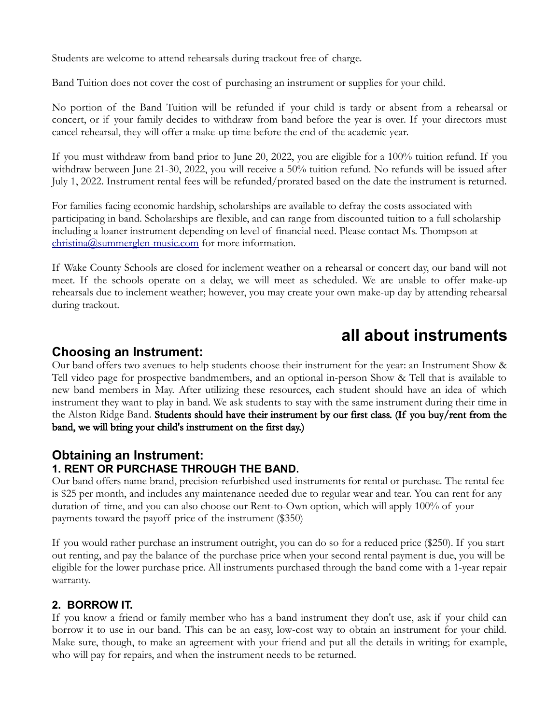Students are welcome to attend rehearsals during trackout free of charge.

Band Tuition does not cover the cost of purchasing an instrument or supplies for your child.

No portion of the Band Tuition will be refunded if your child is tardy or absent from a rehearsal or concert, or if your family decides to withdraw from band before the year is over. If your directors must cancel rehearsal, they will offer a make-up time before the end of the academic year.

If you must withdraw from band prior to June 20, 2022, you are eligible for a 100% tuition refund. If you withdraw between June 21-30, 2022, you will receive a 50% tuition refund. No refunds will be issued after July 1, 2022. Instrument rental fees will be refunded/prorated based on the date the instrument is returned.

For families facing economic hardship, scholarships are available to defray the costs associated with participating in band. Scholarships are flexible, and can range from discounted tuition to a full scholarship including a loaner instrument depending on level of financial need. Please contact Ms. Thompson at [christina@summerglen-music.com](mailto:christina@summerglen-music.com) for more information.

If Wake County Schools are closed for inclement weather on a rehearsal or concert day, our band will not meet. If the schools operate on a delay, we will meet as scheduled. We are unable to offer make-up rehearsals due to inclement weather; however, you may create your own make-up day by attending rehearsal during trackout.

## **all about instruments**

## **Choosing an Instrument:**

Our band offers two avenues to help students choose their instrument for the year: an Instrument Show & Tell video page for prospective bandmembers, and an optional in-person Show & Tell that is available to new band members in May. After utilizing these resources, each student should have an idea of which instrument they want to play in band. We ask students to stay with the same instrument during their time in the Alston Ridge Band. Students should have their instrument by our first class. (If you buy/rent from the band, we will bring your child's instrument on the first day.)

## **Obtaining an Instrument: 1. RENT OR PURCHASE THROUGH THE BAND.**

Our band offers name brand, precision-refurbished used instruments for rental or purchase. The rental fee is \$25 per month, and includes any maintenance needed due to regular wear and tear. You can rent for any duration of time, and you can also choose our Rent-to-Own option, which will apply 100% of your payments toward the payoff price of the instrument (\$350)

If you would rather purchase an instrument outright, you can do so for a reduced price (\$250). If you start out renting, and pay the balance of the purchase price when your second rental payment is due, you will be eligible for the lower purchase price. All instruments purchased through the band come with a 1-year repair warranty.

## **2. BORROW IT.**

If you know a friend or family member who has a band instrument they don't use, ask if your child can borrow it to use in our band. This can be an easy, low-cost way to obtain an instrument for your child. Make sure, though, to make an agreement with your friend and put all the details in writing; for example, who will pay for repairs, and when the instrument needs to be returned.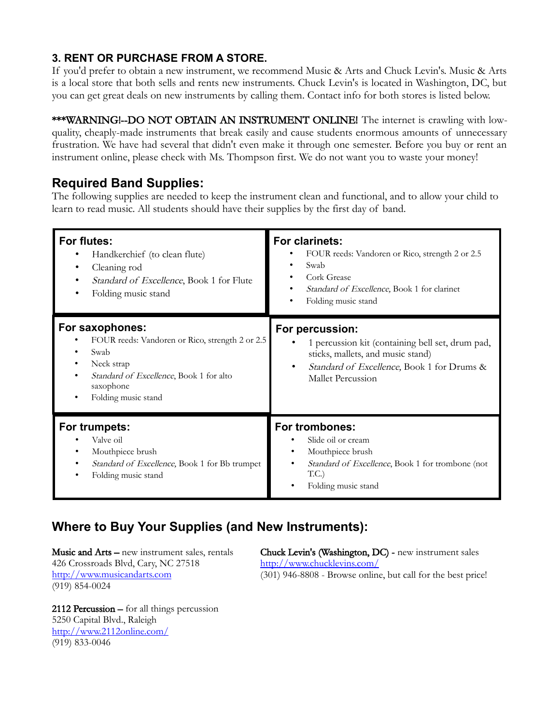## **3. RENT OR PURCHASE FROM A STORE.**

If you'd prefer to obtain a new instrument, we recommend Music & Arts and Chuck Levin's. Music & Arts is a local store that both sells and rents new instruments. Chuck Levin's is located in Washington, DC, but you can get great deals on new instruments by calling them. Contact info for both stores is listed below.

\*\*\*WARNING!--DO NOT OBTAIN AN INSTRUMENT ONLINE! The internet is crawling with lowquality, cheaply-made instruments that break easily and cause students enormous amounts of unnecessary frustration. We have had several that didn't even make it through one semester. Before you buy or rent an instrument online, please check with Ms. Thompson first. We do not want you to waste your money!

## **Required Band Supplies:**

The following supplies are needed to keep the instrument clean and functional, and to allow your child to learn to read music. All students should have their supplies by the first day of band.

| For flutes:<br>Handkerchief (to clean flute)<br>Cleaning rod<br>٠<br>Standard of Excellence, Book 1 for Flute<br>$\bullet$<br>Folding music stand<br>٠                                 | For clarinets:<br>FOUR reeds: Vandoren or Rico, strength 2 or 2.5<br>Swab<br>Cork Grease<br>Standard of Excellence, Book 1 for clarinet<br>Folding music stand                   |
|----------------------------------------------------------------------------------------------------------------------------------------------------------------------------------------|----------------------------------------------------------------------------------------------------------------------------------------------------------------------------------|
| For saxophones:<br>FOUR reeds: Vandoren or Rico, strength 2 or 2.5<br>Swab<br>٠<br>Neck strap<br>٠<br>Standard of Excellence, Book 1 for alto<br>saxophone<br>Folding music stand<br>٠ | For percussion:<br>1 percussion kit (containing bell set, drum pad,<br>sticks, mallets, and music stand)<br>Standard of Excellence, Book 1 for Drums &<br>٠<br>Mallet Percussion |
| For trumpets:<br>Valve oil<br>Mouthpiece brush<br>٠<br><i>Standard of Excellence</i> , Book 1 for Bb trumpet<br>٠<br>Folding music stand<br>٠                                          | For trombones:<br>Slide oil or cream<br>Mouthpiece brush<br><i>Standard of Excellence</i> , Book 1 for trombone (not<br>T.C.)<br>Folding music stand                             |

## **Where to Buy Your Supplies (and New Instruments):**

Music and Arts – new instrument sales, rentals 426 Crossroads Blvd, Cary, NC 27518 [http://www.musicandarts.com](http://www.musicandarts.com/) (919) 854-0024

Chuck Levin's (Washington, DC) - new instrument sales <http://www.chucklevins.com/>

[\(301\) 946-8808](tel:3019468808) - Browse online, but call for the best price!

2112 Percussion – for all things percussion 5250 Capital Blvd., Raleigh <http://www.2112online.com/> (919) 833-0046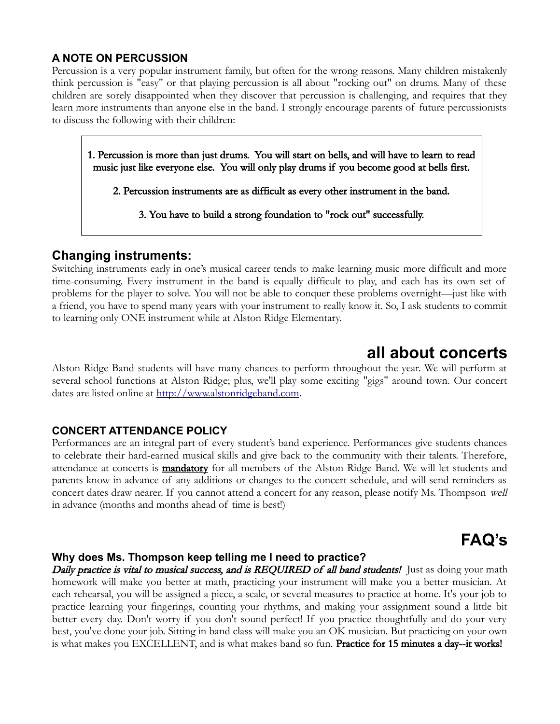### **A NOTE ON PERCUSSION**

Percussion is a very popular instrument family, but often for the wrong reasons. Many children mistakenly think percussion is "easy" or that playing percussion is all about "rocking out" on drums. Many of these children are sorely disappointed when they discover that percussion is challenging, and requires that they learn more instruments than anyone else in the band. I strongly encourage parents of future percussionists to discuss the following with their children:

1. Percussion is more than just drums. You will start on bells, and will have to learn to read music just like everyone else. You will only play drums if you become good at bells first.

2. Percussion instruments are as difficult as every other instrument in the band.

3. You have to build a strong foundation to "rock out" successfully.

## **Changing instruments:**

Switching instruments early in one's musical career tends to make learning music more difficult and more time-consuming. Every instrument in the band is equally difficult to play, and each has its own set of problems for the player to solve. You will not be able to conquer these problems overnight—just like with a friend, you have to spend many years with your instrument to really know it. So, I ask students to commit to learning only ONE instrument while at Alston Ridge Elementary.

## **all about concerts**

Alston Ridge Band students will have many chances to perform throughout the year. We will perform at several school functions at Alston Ridge; plus, we'll play some exciting "gigs" around town. Our concert dates are listed online at [http://www.alstonridgeband.com.](http://www.alstonridgeband.com/)

### **CONCERT ATTENDANCE POLICY**

Performances are an integral part of every student's band experience. Performances give students chances to celebrate their hard-earned musical skills and give back to the community with their talents. Therefore, attendance at concerts is **mandatory** for all members of the Alston Ridge Band. We will let students and parents know in advance of any additions or changes to the concert schedule, and will send reminders as concert dates draw nearer. If you cannot attend a concert for any reason, please notify Ms. Thompson well in advance (months and months ahead of time is best!)

# **dFAQ's**

### **Why does Ms. Thompson keep telling me I need to practice?**

Daily practice is vital to musical success, and is REQUIRED of all band students! Just as doing your math homework will make you better at math, practicing your instrument will make you a better musician. At each rehearsal, you will be assigned a piece, a scale, or several measures to practice at home. It's your job to practice learning your fingerings, counting your rhythms, and making your assignment sound a little bit better every day. Don't worry if you don't sound perfect! If you practice thoughtfully and do your very best, you've done your job. Sitting in band class will make you an OK musician. But practicing on your own is what makes you EXCELLENT, and is what makes band so fun. Practice for 15 minutes a day--it works!